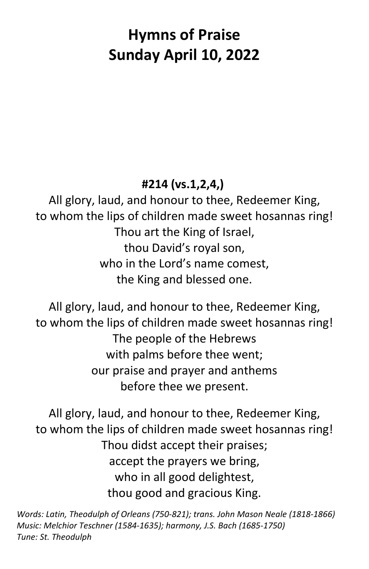# **Hymns of Praise Sunday April 10, 2022**

## **#214 (vs.1,2,4,)**

All glory, laud, and honour to thee, Redeemer King, to whom the lips of children made sweet hosannas ring! Thou art the King of Israel, thou David's royal son, who in the Lord's name comest, the King and blessed one.

All glory, laud, and honour to thee, Redeemer King, to whom the lips of children made sweet hosannas ring! The people of the Hebrews with palms before thee went; our praise and prayer and anthems before thee we present.

All glory, laud, and honour to thee, Redeemer King, to whom the lips of children made sweet hosannas ring! Thou didst accept their praises; accept the prayers we bring, who in all good delightest, thou good and gracious King.

*Words: Latin, Theodulph of Orleans (750-821); trans. John Mason Neale (1818-1866) Music: Melchior Teschner (1584-1635); harmony, J.S. Bach (1685-1750) Tune: St. Theodulph*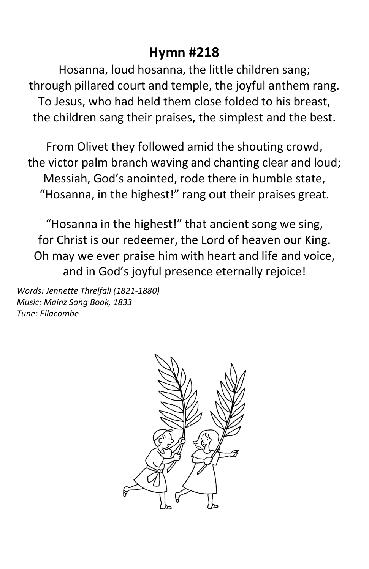### **Hymn #218**

Hosanna, loud hosanna, the little children sang; through pillared court and temple, the joyful anthem rang. To Jesus, who had held them close folded to his breast, the children sang their praises, the simplest and the best.

From Olivet they followed amid the shouting crowd, the victor palm branch waving and chanting clear and loud; Messiah, God's anointed, rode there in humble state, "Hosanna, in the highest!" rang out their praises great.

"Hosanna in the highest!" that ancient song we sing, for Christ is our redeemer, the Lord of heaven our King. Oh may we ever praise him with heart and life and voice, and in God's joyful presence eternally rejoice!

*Words: Jennette Threlfall (1821-1880) Music: Mainz Song Book, 1833 Tune: Ellacombe*

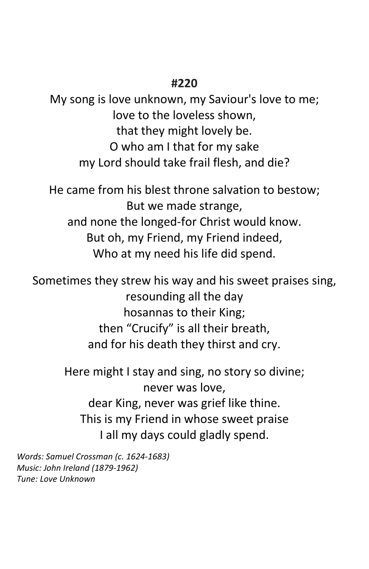#### **#220**

My song is love unknown, my Saviour's love to me; love to the loveless shown, that they might lovely be. O who am I that for my sake my Lord should take frail flesh, and die?

He came from his blest throne salvation to bestow; But we made strange, and none the longed-for Christ would know. But oh, my Friend, my Friend indeed, Who at my need his life did spend.

Sometimes they strew his way and his sweet praises sing, resounding all the day hosannas to their King; then "Crucify" is all their breath, and for his death they thirst and cry.

> Here might I stay and sing, no story so divine; never was love, dear King, never was grief like thine. This is my Friend in whose sweet praise I all my days could gladly spend.

*Words: Samuel Crossman (c. 1624-1683) Music: John Ireland (1879-1962) Tune: Love Unknown*